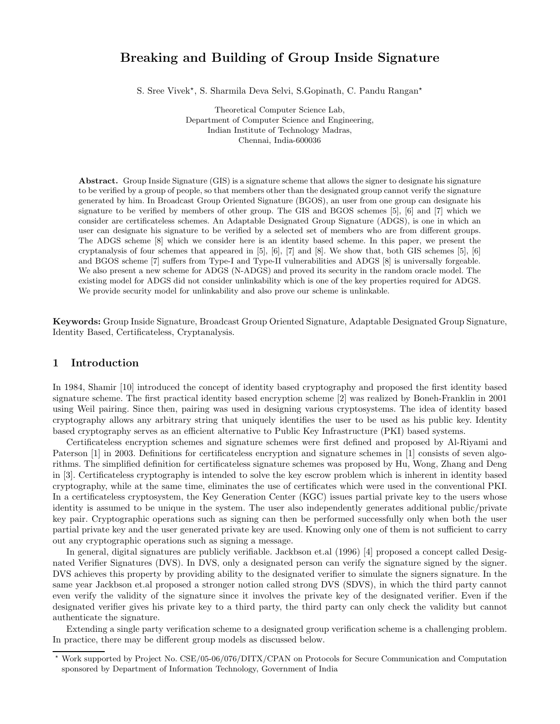# Breaking and Building of Group Inside Signature

S. Sree Vivek\*, S. Sharmila Deva Selvi, S. Gopinath, C. Pandu Rangan\*

Theoretical Computer Science Lab, Department of Computer Science and Engineering, Indian Institute of Technology Madras, Chennai, India-600036

Abstract. Group Inside Signature (GIS) is a signature scheme that allows the signer to designate his signature to be verified by a group of people, so that members other than the designated group cannot verify the signature generated by him. In Broadcast Group Oriented Signature (BGOS), an user from one group can designate his signature to be verified by members of other group. The GIS and BGOS schemes [5], [6] and [7] which we consider are certificateless schemes. An Adaptable Designated Group Signature (ADGS), is one in which an user can designate his signature to be verified by a selected set of members who are from different groups. The ADGS scheme [8] which we consider here is an identity based scheme. In this paper, we present the cryptanalysis of four schemes that appeared in [5], [6], [7] and [8]. We show that, both GIS schemes [5], [6] and BGOS scheme [7] suffers from Type-I and Type-II vulnerabilities and ADGS [8] is universally forgeable. We also present a new scheme for ADGS (N-ADGS) and proved its security in the random oracle model. The existing model for ADGS did not consider unlinkability which is one of the key properties required for ADGS. We provide security model for unlinkability and also prove our scheme is unlinkable.

Keywords: Group Inside Signature, Broadcast Group Oriented Signature, Adaptable Designated Group Signature, Identity Based, Certificateless, Cryptanalysis.

# 1 Introduction

In 1984, Shamir [10] introduced the concept of identity based cryptography and proposed the first identity based signature scheme. The first practical identity based encryption scheme [2] was realized by Boneh-Franklin in 2001 using Weil pairing. Since then, pairing was used in designing various cryptosystems. The idea of identity based cryptography allows any arbitrary string that uniquely identifies the user to be used as his public key. Identity based cryptography serves as an efficient alternative to Public Key Infrastructure (PKI) based systems.

Certificateless encryption schemes and signature schemes were first defined and proposed by Al-Riyami and Paterson [1] in 2003. Definitions for certificateless encryption and signature schemes in [1] consists of seven algorithms. The simplified definition for certificateless signature schemes was proposed by Hu, Wong, Zhang and Deng in [3]. Certificateless cryptography is intended to solve the key escrow problem which is inherent in identity based cryptography, while at the same time, eliminates the use of certificates which were used in the conventional PKI. In a certificateless cryptosystem, the Key Generation Center (KGC) issues partial private key to the users whose identity is assumed to be unique in the system. The user also independently generates additional public/private key pair. Cryptographic operations such as signing can then be performed successfully only when both the user partial private key and the user generated private key are used. Knowing only one of them is not sufficient to carry out any cryptographic operations such as signing a message.

In general, digital signatures are publicly verifiable. Jackbson et.al (1996) [4] proposed a concept called Designated Verifier Signatures (DVS). In DVS, only a designated person can verify the signature signed by the signer. DVS achieves this property by providing ability to the designated verifier to simulate the signers signature. In the same year Jackbson et.al proposed a stronger notion called strong DVS (SDVS), in which the third party cannot even verify the validity of the signature since it involves the private key of the designated verifier. Even if the designated verifier gives his private key to a third party, the third party can only check the validity but cannot authenticate the signature.

Extending a single party verification scheme to a designated group verification scheme is a challenging problem. In practice, there may be different group models as discussed below.

<sup>!</sup> Work supported by Project No. CSE/05-06/076/DITX/CPAN on Protocols for Secure Communication and Computation sponsored by Department of Information Technology, Government of India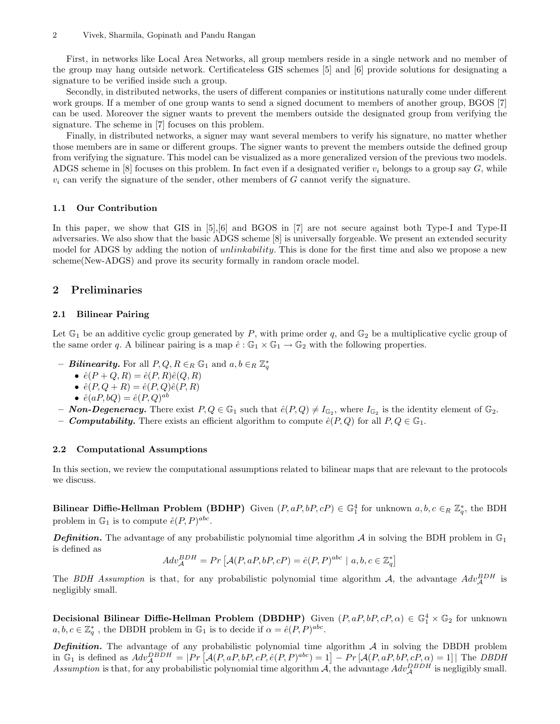First, in networks like Local Area Networks, all group members reside in a single network and no member of the group may hang outside network. Certificateless GIS schemes [5] and [6] provide solutions for designating a signature to be verified inside such a group.

Secondly, in distributed networks, the users of different companies or institutions naturally come under different work groups. If a member of one group wants to send a signed document to members of another group, BGOS [7] can be used. Moreover the signer wants to prevent the members outside the designated group from verifying the signature. The scheme in [7] focuses on this problem.

Finally, in distributed networks, a signer may want several members to verify his signature, no matter whether those members are in same or different groups. The signer wants to prevent the members outside the defined group from verifying the signature. This model can be visualized as a more generalized version of the previous two models. ADGS scheme in [8] focuses on this problem. In fact even if a designated verifier  $v_i$  belongs to a group say G, while  $v_i$  can verify the signature of the sender, other members of G cannot verify the signature.

#### 1.1 Our Contribution

In this paper, we show that GIS in [5], [6] and BGOS in [7] are not secure against both Type-I and Type-II adversaries. We also show that the basic ADGS scheme [8] is universally forgeable. We present an extended security model for ADGS by adding the notion of *unlinkability*. This is done for the first time and also we propose a new scheme(New-ADGS) and prove its security formally in random oracle model.

## 2 Preliminaries

#### 2.1 Bilinear Pairing

Let  $\mathbb{G}_1$  be an additive cyclic group generated by P, with prime order q, and  $\mathbb{G}_2$  be a multiplicative cyclic group of the same order q. A bilinear pairing is a map  $\hat{e}: \mathbb{G}_1 \times \mathbb{G}_1 \to \mathbb{G}_2$  with the following properties.

- $-$  Bilinearity. For all  $P,Q,R\in_R \mathbb{G}_1$  and  $a,b\in_R \mathbb{Z}_q^*$ 
	- $\hat{e}(P+Q,R) = \hat{e}(P,R)\hat{e}(Q,R)$
	- $\hat{e}(P, Q + R) = \hat{e}(P, Q)\hat{e}(P, R)$
	- $\hat{e}(aP, bQ) = \hat{e}(P, Q)^{ab}$

– **Non-Degeneracy.** There exist  $P, Q \in \mathbb{G}_1$  such that  $\hat{e}(P, Q) \neq I_{\mathbb{G}_2}$ , where  $I_{\mathbb{G}_2}$  is the identity element of  $\mathbb{G}_2$ .

– **Computability.** There exists an efficient algorithm to compute  $\hat{e}(P,Q)$  for all  $P,Q \in \mathbb{G}_1$ .

#### 2.2 Computational Assumptions

In this section, we review the computational assumptions related to bilinear maps that are relevant to the protocols we discuss.

**Bilinear Diffie-Hellman Problem (BDHP)** Given  $(P, aP, bP, cP) \in \mathbb{G}_1^4$  for unknown  $a, b, c \in_R \mathbb{Z}_q^*$ , the BDH problem in  $\mathbb{G}_1$  is to compute  $\hat{e}(P, P)^{abc}$ .

**Definition.** The advantage of any probabilistic polynomial time algorithm  $\mathcal A$  in solving the BDH problem in  $\mathbb G_1$ is defined as

$$
Adv_{\mathcal{A}}^{BDH} = Pr \left[ \mathcal{A}(P, aP, bP, cP) = \hat{e}(P, P)^{abc} \mid a, b, c \in \mathbb{Z}_q^* \right]
$$

The BDH Assumption is that, for any probabilistic polynomial time algorithm A, the advantage  $Adv_{\mathcal{A}}^{BDH}$  is negligibly small.

**Decisional Bilinear Diffie-Hellman Problem (DBDHP)** Given  $(P, aP, bP, cP, \alpha) \in \mathbb{G}_1^4 \times \mathbb{G}_2$  for unknown  $a, b, c \in \mathbb{Z}_q^*$ , the DBDH problem in  $\mathbb{G}_1$  is to decide if  $\alpha = \hat{e}(P, P)^{abc}$ .

**Definition.** The advantage of any probabilistic polynomial time algorithm  $A$  in solving the DBDH problem in G<sub>1</sub> is defined as  $Adv_{\mathcal{A}}^{DBDH} = |Pr[\mathcal{A}(P, aP, bP, cP, \hat{e}(P, P)^{abc}] = 1] - Pr[\mathcal{A}(P, aP, bP, cP, \alpha) = 1]$  The *DBDH* Assumption is that, for any probabilistic polynomial time algorithm  $A$ , the advantage  $Adv_{A}^{DBDH}$  is negligibly small.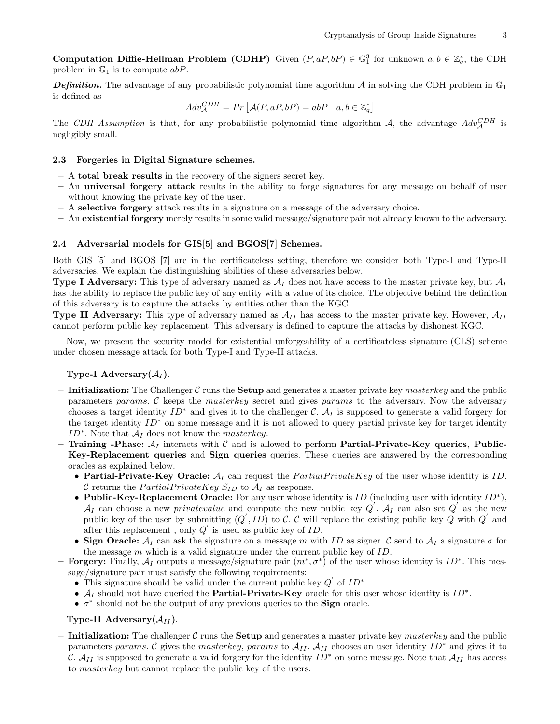**Computation Diffie-Hellman Problem (CDHP)** Given  $(P, aP, bP) \in \mathbb{G}_1^3$  for unknown  $a, b \in \mathbb{Z}_q^*$ , the CDH problem in  $\mathbb{G}_1$  is to compute  $abP$ .

**Definition.** The advantage of any probabilistic polynomial time algorithm  $\mathcal A$  in solving the CDH problem in  $\mathbb G_1$ is defined as

$$
Adv_{\mathcal{A}}^{CDH} = Pr\left[\mathcal{A}(P, aP, bP) = abP \mid a, b \in \mathbb{Z}_q^*\right]
$$

The CDH Assumption is that, for any probabilistic polynomial time algorithm A, the advantage  $Adv_{\mathcal{A}}^{CDH}$  is negligibly small.

## 2.3 Forgeries in Digital Signature schemes.

- A total break results in the recovery of the signers secret key.
- An universal forgery attack results in the ability to forge signatures for any message on behalf of user without knowing the private key of the user.
- A selective forgery attack results in a signature on a message of the adversary choice.
- An existential forgery merely results in some valid message/signature pair not already known to the adversary.

#### 2.4 Adversarial models for GIS[5] and BGOS[7] Schemes.

Both GIS [5] and BGOS [7] are in the certificateless setting, therefore we consider both Type-I and Type-II adversaries. We explain the distinguishing abilities of these adversaries below.

**Type I Adversary:** This type of adversary named as  $A_I$  does not have access to the master private key, but  $A_I$ has the ability to replace the public key of any entity with a value of its choice. The objective behind the definition of this adversary is to capture the attacks by entities other than the KGC.

**Type II Adversary:** This type of adversary named as  $A_{II}$  has access to the master private key. However,  $A_{II}$ cannot perform public key replacement. This adversary is defined to capture the attacks by dishonest KGC.

Now, we present the security model for existential unforgeability of a certificateless signature (CLS) scheme under chosen message attack for both Type-I and Type-II attacks.

## Type-I Adversary $(\mathcal{A}_I)$ .

- Initialization: The Challenger C runs the Setup and generates a master private key master key and the public parameters params. C keeps the masterkey secret and gives params to the adversary. Now the adversary chooses a target identity  $ID^*$  and gives it to the challenger C.  $A_I$  is supposed to generate a valid forgery for the target identity ID<sup>∗</sup> on some message and it is not allowed to query partial private key for target identity  $ID^*$ . Note that  $\mathcal{A}_I$  does not know the *masterkey*.
- Training -Phase:  $A_I$  interacts with C and is allowed to perform Partial-Private-Key queries, Public-Key-Replacement queries and Sign queries queries. These queries are answered by the corresponding oracles as explained below.
	- Partial-Private-Key Oracle:  $A_I$  can request the *PartialPrivateKey* of the user whose identity is ID. C returns the  $PartialPrivateKey$   $S_{ID}$  to  $A_I$  as response.
	- Public-Key-Replacement Oracle: For any user whose identity is  $ID$  (including user with identity  $ID^*$ ),  $\mathcal{A}_I$  can choose a new *privatevalue* and compute the new public key  $Q'$ .  $\mathcal{A}_I$  can also set  $Q'$  as the new public key of the user by submitting  $(Q', ID)$  to C. C will replace the existing public key Q with  $Q'$  and after this replacement, only  $Q'$  is used as public key of ID.
	- Sign Oracle:  $A_I$  can ask the signature on a message m with ID as signer. C send to  $A_I$  a signature  $\sigma$  for the message  $m$  which is a valid signature under the current public key of  $ID$ .
- **Forgery:** Finally,  $A_I$  outputs a message/signature pair  $(m^*, \sigma^*)$  of the user whose identity is  $ID^*$ . This message/signature pair must satisfy the following requirements:
	- This signature should be valid under the current public key  $Q'$  of  $ID^*$ .
	- $\mathcal{A}_I$  should not have queried the **Partial-Private-Key** oracle for this user whose identity is  $ID^*$ .
	- $\sigma^*$  should not be the output of any previous queries to the **Sign** oracle.

## Type-II Adversary $(\mathcal{A}_{II})$ .

– Initialization: The challenger C runs the Setup and generates a master private key masterkey and the public parameters params. C gives the masterkey, params to  $A_{II}$ .  $A_{II}$  chooses an user identity  $ID^*$  and gives it to C.  $A_{II}$  is supposed to generate a valid forgery for the identity  $ID^*$  on some message. Note that  $A_{II}$  has access to masterkey but cannot replace the public key of the users.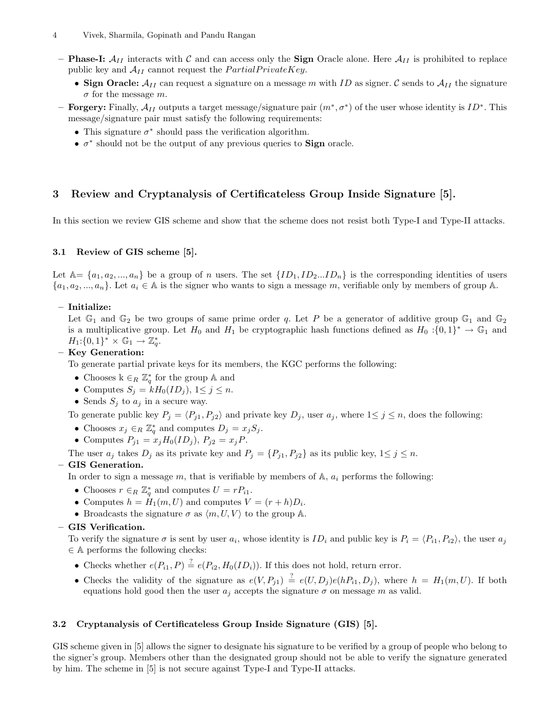- Phase-I:  $A_{II}$  interacts with C and can access only the Sign Oracle alone. Here  $A_{II}$  is prohibited to replace public key and  $A_{II}$  cannot request the  $PartialPrivateKey$ .
	- Sign Oracle:  $A_{II}$  can request a signature on a message m with ID as signer. C sends to  $A_{II}$  the signature  $\sigma$  for the message m.
- **Forgery:** Finally,  $\mathcal{A}_{II}$  outputs a target message/signature pair  $(m^*, \sigma^*)$  of the user whose identity is  $ID^*$ . This message/signature pair must satisfy the following requirements:
	- This signature  $\sigma^*$  should pass the verification algorithm.
	- $\sigma^*$  should not be the output of any previous queries to **Sign** oracle.

# 3 Review and Cryptanalysis of Certificateless Group Inside Signature [5].

In this section we review GIS scheme and show that the scheme does not resist both Type-I and Type-II attacks.

## 3.1 Review of GIS scheme [5].

Let  $\mathbb{A}=\{a_1,a_2,...,a_n\}$  be a group of n users. The set  $\{ID_1, ID_2...ID_n\}$  is the corresponding identities of users  $\{a_1, a_2, ..., a_n\}$ . Let  $a_i \in \mathbb{A}$  is the signer who wants to sign a message m, verifiable only by members of group  $\mathbb{A}$ .

## – Initialize:

Let  $\mathbb{G}_1$  and  $\mathbb{G}_2$  be two groups of same prime order q. Let P be a generator of additive group  $\mathbb{G}_1$  and  $\mathbb{G}_2$ is a multiplicative group. Let  $H_0$  and  $H_1$  be cryptographic hash functions defined as  $H_0: \{0,1\}^* \to \mathbb{G}_1$  and  $H_1: \{0,1\}^* \times \mathbb{G}_1 \to \mathbb{Z}_q^*.$ 

## – Key Generation:

To generate partial private keys for its members, the KGC performs the following:

- Chooses  $k \in_R \mathbb{Z}_q^*$  for the group  $\mathbb A$  and
- Computes  $S_j = kH_0(ID_j), 1 \leq j \leq n$ .
- Sends  $S_j$  to  $a_j$  in a secure way.

To generate public key  $P_j = \langle P_{j1}, P_{j2} \rangle$  and private key  $D_j$ , user  $a_j$ , where  $1 \le j \le n$ , does the following:

- Chooses  $x_j \in_R \mathbb{Z}_q^*$  and computes  $D_j = x_j S_j$ .
- Computes  $P_{j1} = x_j H_0(ID_j), P_{j2} = x_j P.$

The user  $a_j$  takes  $D_j$  as its private key and  $P_j = \{P_{j1}, P_{j2}\}\$ as its public key,  $1 \leq j \leq n$ .

#### – GIS Generation.

In order to sign a message  $m$ , that is verifiable by members of  $A$ ,  $a_i$  performs the following:

- Chooses  $r \in_R \mathbb{Z}_q^*$  and computes  $U = rP_{i1}$ .
- Computes  $h = H_1(m, U)$  and computes  $V = (r + h)D_i$ .
- Broadcasts the signature  $\sigma$  as  $\langle m, U, V \rangle$  to the group A.

# – GIS Verification.

To verify the signature  $\sigma$  is sent by user  $a_i$ , whose identity is  $ID_i$  and public key is  $P_i = \langle P_{i1}, P_{i2} \rangle$ , the user  $a_i$ ∈ A performs the following checks:

- Checks whether  $e(P_{i1}, P) \stackrel{?}{=} e(P_{i2}, H_0(ID_i))$ . If this does not hold, return error.
- Checks the validity of the signature as  $e(V, P_{j1}) \stackrel{?}{=} e(U, D_j)e(hP_{i1}, D_j)$ , where  $h = H_1(m, U)$ . If both equations hold good then the user  $a_i$  accepts the signature  $\sigma$  on message m as valid.

## 3.2 Cryptanalysis of Certificateless Group Inside Signature (GIS) [5].

GIS scheme given in [5] allows the signer to designate his signature to be verified by a group of people who belong to the signer's group. Members other than the designated group should not be able to verify the signature generated by him. The scheme in [5] is not secure against Type-I and Type-II attacks.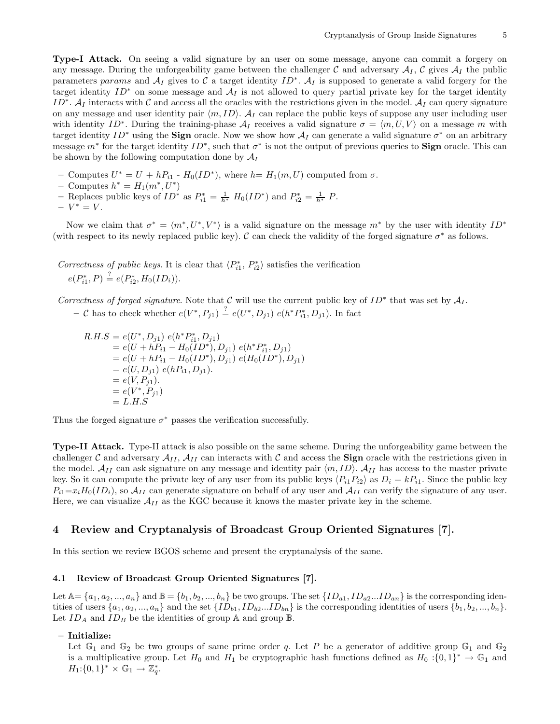Type-I Attack. On seeing a valid signature by an user on some message, anyone can commit a forgery on any message. During the unforgeability game between the challenger C and adversary  $A_I$ , C gives  $A_I$  the public parameters params and  $A_I$  gives to C a target identity ID<sup>∗</sup>.  $A_I$  is supposed to generate a valid forgery for the target identity  $ID^*$  on some message and  $\mathcal{A}_I$  is not allowed to query partial private key for the target identity ID<sup>∗</sup>. A<sub>I</sub> interacts with C and access all the oracles with the restrictions given in the model. A<sub>I</sub> can query signature on any message and user identity pair  $\langle m, ID \rangle$ .  $\mathcal{A}_I$  can replace the public keys of suppose any user including user with identity ID<sup>∗</sup>. During the training-phase  $\mathcal{A}_I$  receives a valid signature  $\sigma = \langle m, U, V \rangle$  on a message m with target identity  $ID^*$  using the **Sign** oracle. Now we show how  $A_I$  can generate a valid signature  $\sigma^*$  on an arbitrary message  $m^*$  for the target identity  $ID^*$ , such that  $\sigma^*$  is not the output of previous queries to **Sign** oracle. This can be shown by the following computation done by  $\mathcal{A}_I$ 

- Computes  $U^* = U + hP_{i1}$   $H_0(ID^*)$ , where  $h = H_1(m, U)$  computed from  $\sigma$ .
- Computes  $h^* = H_1(m^*, U^*)$
- Replaces public keys of  $ID^*$  as  $P_{i1}^* = \frac{1}{h^*} H_0(ID^*)$  and  $P_{i2}^* = \frac{1}{h^*} P$ .

$$
-V^*=V.
$$

Now we claim that  $\sigma^* = \langle m^*, U^*, V^* \rangle$  is a valid signature on the message  $m^*$  by the user with identity  $ID^*$ (with respect to its newly replaced public key). C can check the validity of the forged signature  $\sigma^*$  as follows.

Correctness of public keys. It is clear that  $\langle P_{i1}^*, P_{i2}^* \rangle$  satisfies the verification  $e(P_{i1}^*, P) \stackrel{?}{=} e(P_{i2}^*, H_0(ID_i)).$ 

Correctness of forged signature. Note that C will use the current public key of  $ID^*$  that was set by  $\mathcal{A}_I$ .

− C has to check whether  $e(V^*, P_{j1}) \stackrel{?}{=} e(U^*, D_{j1}) e(h^* P_{i1}^*, D_{j1})$ . In fact

$$
R.H.S = e(U^*, D_{j1}) e(h^* P_{i1}^*, D_{j1})
$$
  
=  $e(U + hP_{i1} - H_0(ID^*), D_{j1}) e(h^* P_{i1}^*, D_{j1})$   
=  $e(U + hP_{i1} - H_0(ID^*), D_{j1}) e(H_0(ID^*), D_{j1})$   
=  $e(U, D_{j1}) e(hP_{i1}, D_{j1}).$   
=  $e(V, P_{j1}).$   
=  $e(V^*, P_{j1})$   
=  $L.H.S$ 

Thus the forged signature  $\sigma^*$  passes the verification successfully.

Type-II Attack. Type-II attack is also possible on the same scheme. During the unforgeability game between the challenger C and adversary  $\mathcal{A}_{II}$ ,  $\mathcal{A}_{II}$  can interacts with C and access the **Sign** oracle with the restrictions given in the model.  $A_{II}$  can ask signature on any message and identity pair  $\langle m, ID \rangle$ .  $A_{II}$  has access to the master private key. So it can compute the private key of any user from its public keys  $\langle P_{i1}P_{i2}\rangle$  as  $D_i = kP_{i1}$ . Since the public key  $P_{i1}=x_iH_0(ID_i)$ , so  $A_{II}$  can generate signature on behalf of any user and  $A_{II}$  can verify the signature of any user. Here, we can visualize  $\mathcal{A}_{II}$  as the KGC because it knows the master private key in the scheme.

# 4 Review and Cryptanalysis of Broadcast Group Oriented Signatures [7].

In this section we review BGOS scheme and present the cryptanalysis of the same.

## 4.1 Review of Broadcast Group Oriented Signatures [7].

Let  $\mathbb{A}=\{a_1,a_2,...,a_n\}$  and  $\mathbb{B}=\{b_1,b_2,...,b_n\}$  be two groups. The set  $\{ID_{a1},ID_{a2}...ID_{an}\}$  is the corresponding identities of users  $\{a_1, a_2, ..., a_n\}$  and the set  $\{ID_{b1}, ID_{b2}...ID_{bn}\}$  is the corresponding identities of users  $\{b_1, b_2, ..., b_n\}$ . Let  $ID_A$  and  $ID_B$  be the identities of group  $A$  and group  $B$ .

#### – Initialize:

Let  $\mathbb{G}_1$  and  $\mathbb{G}_2$  be two groups of same prime order q. Let P be a generator of additive group  $\mathbb{G}_1$  and  $\mathbb{G}_2$ is a multiplicative group. Let  $H_0$  and  $H_1$  be cryptographic hash functions defined as  $H_0: \{0,1\}^* \to \mathbb{G}_1$  and  $H_1: \{0,1\}^* \times \mathbb{G}_1 \to \mathbb{Z}_q^*.$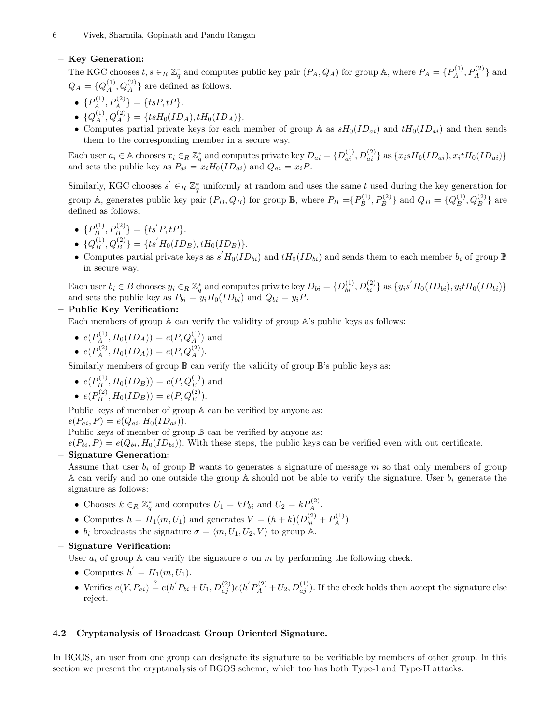# – Key Generation:

The KGC chooses  $t, s \in_R \mathbb{Z}_q^*$  and computes public key pair  $(P_A, Q_A)$  for group A, where  $P_A = \{P_A^{(1)}, P_A^{(2)}\}$  and  $Q_A = \{Q_A^{(1)}, Q_A^{(2)}\}$  are defined as follows.

- ${P_A^{(1)}, P_A^{(2)} = {tsP, tP}.$
- ${Q_A^{(1)}, Q_A^{(2)}\} = {tsH_0(ID_A), tH_0(ID_A)}.$
- Computes partial private keys for each member of group A as  $sH_0(ID_{ai})$  and  $tH_0(ID_{ai})$  and then sends them to the corresponding member in a secure way.

Each user  $a_i \in \mathbb{A}$  chooses  $x_i \in_R \mathbb{Z}_q^*$  and computes private key  $D_{ai} = \{D_{ai}^{(1)}, D_{ai}^{(2)}\}$  as  $\{x_i s H_0(ID_{ai}), x_i t H_0(ID_{ai})\}$ and sets the public key as  $P_{ai} = x_i H_0(ID_{ai})$  and  $Q_{ai} = x_i P$ .

Similarly, KGC chooses  $s' \in_R \mathbb{Z}_q^*$  uniformly at random and uses the same t used during the key generation for group A, generates public key pair  $(P_B, Q_B)$  for group B, where  $P_B = \{P_B^{(1)}, P_B^{(2)}\}$  and  $Q_B = \{Q_B^{(1)}, Q_B^{(2)}\}$  are defined as follows.

- ${P_B^{(1)}, P_B^{(2)}\} = {ts'P, tP}.$
- ${Q_B^{(1)}, Q_B^{(2)}} = {ts' H_0(ID_B), tH_0(ID_B)}.$
- Computes partial private keys as  $s'H_0(ID_{bi})$  and  $tH_0(ID_{bi})$  and sends them to each member  $b_i$  of group  $\mathbb B$ in secure way.

Each user  $b_i \in B$  chooses  $y_i \in_R \mathbb{Z}_q^*$  and computes private key  $D_{bi} = \{D_{bi}^{(1)}, D_{bi}^{(2)}\}$  as  $\{y_i s' H_0(ID_{bi}), y_i t H_0(ID_{bi})\}$ and sets the public key as  $P_{bi} = y_i H_0(ID_{bi})$  and  $Q_{bi} = y_i P$ .

# – Public Key Verification:

Each members of group A can verify the validity of group A's public keys as follows:

- $e(P_A^{(1)}, H_0(ID_A)) = e(P, Q_A^{(1)})$  and
- $e(P_A^{(2)}, H_0(ID_A)) = e(P, Q_A^{(2)}).$

Similarly members of group  $\mathbb B$  can verify the validity of group  $\mathbb B$ 's public keys as:

• 
$$
e(P_B^{(1)}, H_0(ID_B)) = e(P, Q_B^{(1)})
$$
 and

• 
$$
e(P_B^{(2)}, H_0(ID_B)) = e(P, Q_B^{(2)})
$$
.

Public keys of member of group  $A$  can be verified by anyone as:

 $e(P_{ai}, P) = e(Q_{ai}, H_0(ID_{ai})).$ 

Public keys of member of group  $\mathbb B$  can be verified by anyone as:

 $e(P_{bi}, P) = e(Q_{bi}, H_0(ID_{bi})).$  With these steps, the public keys can be verified even with out certificate.

# – Signature Generation:

Assume that user  $b_i$  of group  $\mathbb B$  wants to generates a signature of message m so that only members of group A can verify and no one outside the group A should not be able to verify the signature. User  $b_i$  generate the signature as follows:

- Chooses  $k \in_R \mathbb{Z}_q^*$  and computes  $U_1 = k P_{bi}$  and  $U_2 = k P_A^{(2)}$ .
- Computes  $h = H_1(m, U_1)$  and generates  $V = (h + k)(D_{bi}^{(2)} + P_A^{(1)})$ .
- $b_i$  broadcasts the signature  $\sigma = \langle m, U_1, U_2, V \rangle$  to group A.

# – Signature Verification:

User  $a_i$  of group A can verify the signature  $\sigma$  on m by performing the following check.

- Computes  $h' = H_1(m, U_1)$ .
- Verifies  $e(V, P_{ai}) \stackrel{?}{=} e(h'P_{bi} + U_1, D_{aj}^{(2)})e(h'P_A^{(2)} + U_2, D_{aj}^{(1)})$ . If the check holds then accept the signature else reject.

## 4.2 Cryptanalysis of Broadcast Group Oriented Signature.

In BGOS, an user from one group can designate its signature to be verifiable by members of other group. In this section we present the cryptanalysis of BGOS scheme, which too has both Type-I and Type-II attacks.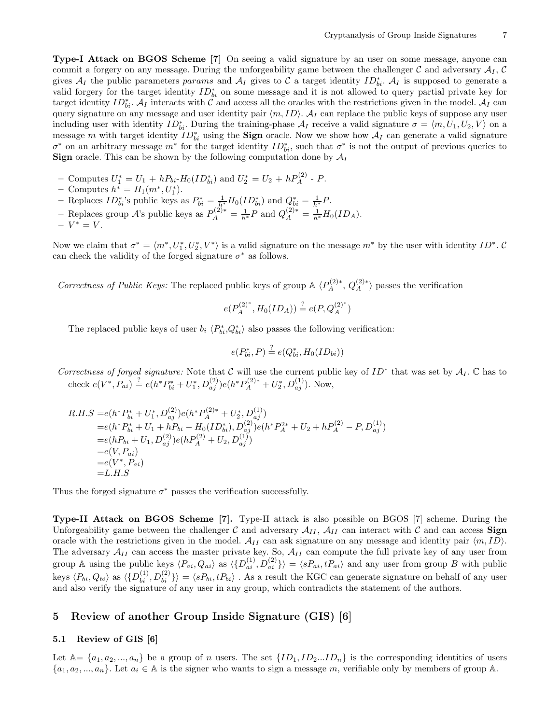Type-I Attack on BGOS Scheme [7] On seeing a valid signature by an user on some message, anyone can commit a forgery on any message. During the unforgeability game between the challenger  $\mathcal{C}$  and adversary  $\mathcal{A}_I$ ,  $\mathcal{C}$ gives  $A_I$  the public parameters params and  $A_I$  gives to C a target identity  $ID_{bi}^*$ .  $A_I$  is supposed to generate a valid forgery for the target identity  $ID_{bi}^*$  on some message and it is not allowed to query partial private key for target identity  $ID_{bi}^*$ .  $A_I$  interacts with C and access all the oracles with the restrictions given in the model.  $A_I$  can query signature on any message and user identity pair  $\langle m, ID \rangle$ .  $\mathcal{A}_I$  can replace the public keys of suppose any user including user with identity  $ID_{bi}^*$ . During the training-phase  $\mathcal{A}_I$  receive a valid signature  $\sigma = \langle m, U_1, U_2, V \rangle$  on a message m with target identity  $ID_{bi}^*$  using the **Sign** oracle. Now we show how  $A_I$  can generate a valid signature  $\sigma^*$  on an arbitrary message  $m^*$  for the target identity  $ID_{bi}^*$ , such that  $\sigma^*$  is not the output of previous queries to **Sign** oracle. This can be shown by the following computation done by  $A_I$ 

- Computes  $U_1^* = U_1 + hP_{bi}$ - $H_0(ID_{bi}^*)$  and  $U_2^* = U_2 + hP_A^{(2)}$  P.
- Computes  $h^* = H_1(m^*, U_1^*).$
- Replaces  $ID_{bi}^*$ 's public keys as  $P_{bi}^* = \frac{1}{h^*} H_0(ID_{bi}^*)$  and  $Q_{bi}^* = \frac{1}{h^*} P$ .
- Replaces group  $\mathcal{A}$ 's public keys as  $P_A^{(2)*} = \frac{1}{h^*} P$  and  $Q_A^{(2)*} = \frac{1}{h^*} H_0(ID_A)$ .

$$
-V^*=V.
$$

Now we claim that  $\sigma^* = \langle m^*, U_1^*, U_2^*, V^* \rangle$  is a valid signature on the message  $m^*$  by the user with identity  $ID^*$ . C can check the validity of the forged signature  $\sigma^*$  as follows.

Correctness of Public Keys: The replaced public keys of group  $\mathbb{A} \langle P_A^{(2)*}, Q_A^{(2)*} \rangle$  passes the verification

$$
e(P_A^{(2)^*}, H_0(ID_A)) \stackrel{?}{=} e(P, Q_A^{(2)^*})
$$

The replaced public keys of user  $b_i \langle P_{bi}^*, Q_{bi}^* \rangle$  also passes the following verification:

$$
e(P_{bi}^*, P) \stackrel{?}{=} e(Q_{bi}^*, H_0(ID_{bi}))
$$

Correctness of forged signature: Note that C will use the current public key of  $ID^*$  that was set by  $A_I$ .  $\mathbb C$  has to check  $e(V^*, P_{ai}) \stackrel{?}{=} e(h^* P_{bi}^* + U_1^*, D_{aj}^{(2)}) e(h^* P_A^{(2)*} + U_2^*, D_{aj}^{(1)})$ . Now,

$$
R.H.S = e(h^*P_{bi}^* + U_1^*, D_{aj}^{(2)})e(h^*P_A^{(2)*} + U_2^*, D_{aj}^{(1)})
$$
  
\n
$$
= e(h^*P_{bi}^* + U_1 + hP_{bi} - H_0(ID_{bi}^*), D_{aj}^{(2)})e(h^*P_A^{2*} + U_2 + hP_A^{(2)} - P, D_{aj}^{(1)})
$$
  
\n
$$
= e(hP_{bi} + U_1, D_{aj}^{(2)})e(hP_A^{(2)} + U_2, D_{aj}^{(1)})
$$
  
\n
$$
= e(V, P_{ai})
$$
  
\n
$$
= e(V^*, P_{ai})
$$
  
\n
$$
= L.H.S
$$

Thus the forged signature  $\sigma^*$  passes the verification successfully.

Type-II Attack on BGOS Scheme [7]. Type-II attack is also possible on BGOS [7] scheme. During the Unforgeability game between the challenger C and adversary  $A_{II}$ ,  $A_{II}$  can interact with C and can access **Sign** oracle with the restrictions given in the model.  $A_{II}$  can ask signature on any message and identity pair  $\langle m, ID \rangle$ . The adversary  $A_{II}$  can access the master private key. So,  $A_{II}$  can compute the full private key of any user from group A using the public keys  $\langle P_{ai}, Q_{ai} \rangle$  as  $\langle \{D_{ai}^{(1)}, D_{ai}^{(2)}\}\rangle = \langle sP_{ai}, tP_{ai}\rangle$  and any user from group B with public keys  $\langle P_{bi}, Q_{bi} \rangle$  as  $\langle \{D_{bi}^{(1)}, D_{bi}^{(2)}\}\rangle = \langle sP_{bi}, tP_{bi}\rangle$ . As a result the KGC can generate signature on behalf of any user and also verify the signature of any user in any group, which contradicts the statement of the authors.

# 5 Review of another Group Inside Signature (GIS) [6]

## 5.1 Review of GIS [6]

Let  $\mathbb{A}=\{a_1,a_2,...,a_n\}$  be a group of n users. The set  $\{ID_1, ID_2...ID_n\}$  is the corresponding identities of users  $\{a_1, a_2, ..., a_n\}$ . Let  $a_i \in \mathbb{A}$  is the signer who wants to sign a message m, verifiable only by members of group A.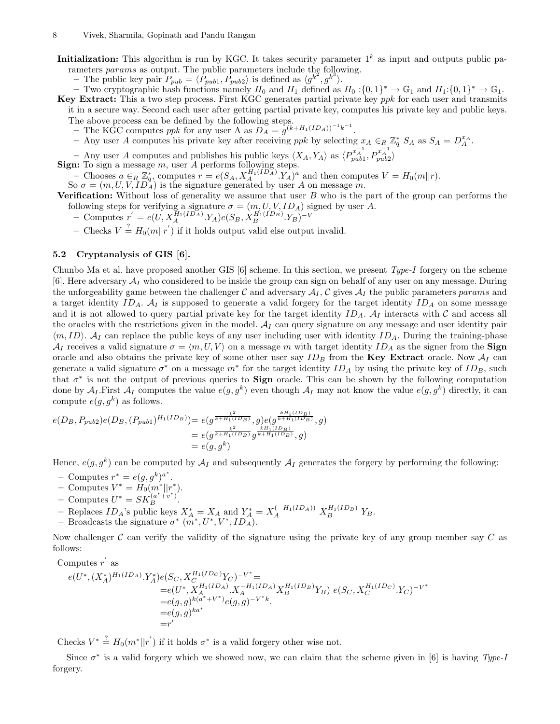Initialization: This algorithm is run by KGC. It takes security parameter  $1^k$  as input and outputs public parameters params as output. The public parameters include the following.

– The public key pair  $P_{pub} = \langle P_{pub1}, P_{pub} \rangle$  is defined as  $\langle g^{k^2}, g^{k^3} \rangle$ .

– Two cryptographic hash functions namely  $H_0$  and  $H_1$  defined as  $H_0: \{0,1\}^* \to \mathbb{G}_1$  and  $H_1: \{0,1\}^* \to \mathbb{G}_1$ . Key Extract: This a two step process. First KGC generates partial private key *ppk* for each user and transmits

it in a secure way. Second each user after getting partial private key, computes his private key and public keys. The above process can be defined by the following steps.<br>
– The KGC computes *ppk* for any user A as  $D_A = g^{(k+H_1(ID_A))^{-1}k^{-1}}$ .

- Any user A computes his private key after receiving ppk by selecting  $x_A \in_R \mathbb{Z}_q^* S_A$  as  $S_A = D_A^{x_A}$ .

 $-$  Any user A computes and publishes his public keys  $\langle X_A, Y_A \rangle$  as  $\langle P_{pub}^{x_A^{-1}}, P_{pub2}^{x_A^{-1}} \rangle$ 

Sign: To sign a message  $m$ , user  $A$  performs following steps.

– Chooses  $a \in_R \mathbb{Z}_q^*$ , computes  $r = e(S_A, X_A^{H_1(ID_A)}, Y_A)^a$  and then computes  $V = H_0(m||r)$ .<br>So  $\sigma = (m, U, V, ID_A)$  is the signature generated by user A on message m.

Verification: Without loss of generality we assume that user  $B$  who is the part of the group can performs the following steps for verifying a signature  $\sigma = (m, U, V, ID_A)$  signed by user A.

- − Computes  $r' = e(U, X_A^{H_1(ID_A)} . Y_A)e(S_B, X_B^{H_1(ID_B)} . Y_B)^{-V}$
- Checks  $V \stackrel{?}{=} H_0(m||r')$  if it holds output valid else output invalid.

## 5.2 Cryptanalysis of GIS [6].

Chunbo Ma et al. have proposed another GIS [6] scheme. In this section, we present  $Type-I$  forgery on the scheme [6]. Here adversary  $\mathcal{A}_I$  who considered to be inside the group can sign on behalf of any user on any message. During the unforgeability game between the challenger C and adversary  $A<sub>I</sub>$ , C gives  $A<sub>I</sub>$  the public parameters params and a target identity  $ID_A$ .  $A_I$  is supposed to generate a valid forgery for the target identity  $ID_A$  on some message and it is not allowed to query partial private key for the target identity  $ID_A$ .  $\mathcal{A}_I$  interacts with  $\mathcal C$  and access all the oracles with the restrictions given in the model.  $A_I$  can query signature on any message and user identity pair  $\langle m, ID \rangle$ .  $\mathcal{A}_I$  can replace the public keys of any user including user with identity  $ID_A$ . During the training-phase  $\mathcal{A}_I$  receives a valid signature  $\sigma = \langle m, U, V \rangle$  on a message m with target identity  $ID_A$  as the signer from the **Sign** oracle and also obtains the private key of some other user say  $ID_B$  from the Key Extract oracle. Now  $A_I$  can generate a valid signature  $\sigma^*$  on a message  $m^*$  for the target identity  $ID_A$  by using the private key of  $ID_B$ , such that  $\sigma^*$  is not the output of previous queries to **Sign** oracle. This can be shown by the following computation done by  $\mathcal{A}_I$ . First  $\mathcal{A}_I$  computes the value  $e(g, g^k)$  even though  $\mathcal{A}_I$  may not know the value  $e(g, g^k)$  directly, it can compute  $e(g, g^k)$  as follows.

$$
e(D_B, P_{pub2})e(D_B, (P_{pub1})^{H_1(ID_B)}) = e(g^{\frac{k^2}{k+H_1(ID_B)}}, g)e(g^{\frac{kH_1(ID_B)}{k+H_1(ID_B)}}, g)
$$
  
=  $e(g^{\frac{k^2}{k+H_1(ID_B)}}g^{\frac{kH_1(ID_B)}{k+H_1(ID_B)}}, g)$   
=  $e(g, g^k)$ 

Hence,  $e(g, g^k)$  can be computed by  $\mathcal{A}_I$  and subsequently  $\mathcal{A}_I$  generates the forgery by performing the following:

- Computes  $r^* = e(g, g^k)^{a^*}.$
- Computes  $V^* = H_0(m^*||r^*).$
- Computes  $U^* = SK_B^{(a^*+v^*)}$ .
- Replaces  $ID_A$ 's public keys  $X_A^* = X_A$  and  $Y_A^* = X_A^{(-H_1(ID_A))} X_B^{H_1(ID_B)} Y_B$ .
- Broadcasts the signature  $\sigma^*$   $(m^*, U^*, V^*, ID_A)$ .

Now challenger  $\mathcal C$  can verify the validity of the signature using the private key of any group member say  $C$  as follows:

Computes  $r'$  as

$$
e(U^*, (X_A^*)^{H_1(ID_A)} \cdot Y_A^*)e(S_C, X_C^{H_1(ID_C)} Y_C)^{-V^*} =
$$
  
\n
$$
= e(U^*, X_A^{H_1(ID_A)} \cdot X_A^{-H_1(ID_A)} X_B^{H_1(ID_B)} Y_B) e(S_C, X_C^{H_1(ID_C)} \cdot Y_C)^{-V^*}
$$
  
\n
$$
= e(g, g)^{k(a^*+V^*)} e(g, g)^{-V^*k}.
$$
  
\n
$$
= r'
$$

Checks  $V^* \stackrel{?}{=} H_0(m^*||r')$  if it holds  $\sigma^*$  is a valid forgery other wise not.

Since  $\sigma^*$  is a valid forgery which we showed now, we can claim that the scheme given in [6] is having Type-I forgery.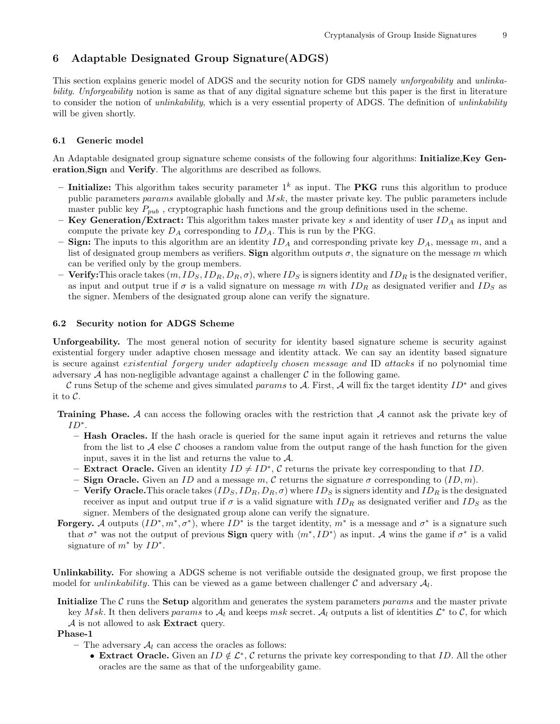# 6 Adaptable Designated Group Signature(ADGS)

This section explains generic model of ADGS and the security notion for GDS namely unforgeability and unlinkability. Unforgeability notion is same as that of any digital signature scheme but this paper is the first in literature to consider the notion of *unlinkability*, which is a very essential property of ADGS. The definition of *unlinkability* will be given shortly.

#### 6.1 Generic model

An Adaptable designated group signature scheme consists of the following four algorithms: **Initialize, Key Gen**eration,Sign and Verify. The algorithms are described as follows.

- Initialize: This algorithm takes security parameter  $1^k$  as input. The **PKG** runs this algorithm to produce public parameters params available globally and  $Msk$ , the master private key. The public parameters include master public key  $P_{pub}$ , cryptographic hash functions and the group definitions used in the scheme.
- **Key Generation/Extract:** This algorithm takes master private key s and identity of user  $ID_A$  as input and compute the private key  $D_A$  corresponding to  $ID_A$ . This is run by the PKG.
- **Sign:** The inputs to this algorithm are an identity  $ID_A$  and corresponding private key  $D_A$ , message m, and a list of designated group members as verifiers. Sign algorithm outputs  $\sigma$ , the signature on the message m which can be verified only by the group members.
- Verify: This oracle takes  $(m, ID_S, ID_R, D_R, \sigma)$ , where  $ID_S$  is signers identity and  $ID_R$  is the designated verifier, as input and output true if  $\sigma$  is a valid signature on message m with  $ID_R$  as designated verifier and  $ID_S$  as the signer. Members of the designated group alone can verify the signature.

## 6.2 Security notion for ADGS Scheme

Unforgeability. The most general notion of security for identity based signature scheme is security against existential forgery under adaptive chosen message and identity attack. We can say an identity based signature is secure against existential forgery under adaptively chosen message and ID attacks if no polynomial time adversary  $A$  has non-negligible advantage against a challenger  $C$  in the following game.

C runs Setup of the scheme and gives simulated params to A. First, A will fix the target identity  $ID^*$  and gives it to C.

Training Phase. A can access the following oracles with the restriction that A cannot ask the private key of ID∗.

- Hash Oracles. If the hash oracle is queried for the same input again it retrieves and returns the value from the list to A else C chooses a random value from the output range of the hash function for the given input, saves it in the list and returns the value to  $A$ .
- **Extract Oracle.** Given an identity  $ID \neq ID^*$ , C returns the private key corresponding to that ID.
- Sign Oracle. Given an ID and a message m, C returns the signature  $\sigma$  corresponding to  $(1D, m)$ .
- Verify Oracle. This oracle takes  $(ID_S, ID_R, D_R, \sigma)$  where  $ID_S$  is signers identity and  $ID_R$  is the designated receiver as input and output true if  $\sigma$  is a valid signature with  $ID_R$  as designated verifier and  $ID_S$  as the signer. Members of the designated group alone can verify the signature.
- **Forgery.** A outputs  $(ID^*, m^*, \sigma^*)$ , where  $ID^*$  is the target identity,  $m^*$  is a message and  $\sigma^*$  is a signature such that  $\sigma^*$  was not the output of previous **Sign** query with  $\langle m^*, ID^* \rangle$  as input. A wins the game if  $\sigma^*$  is a valid signature of  $m^*$  by  $ID^*$ .

Unlinkability. For showing a ADGS scheme is not verifiable outside the designated group, we first propose the model for *unlinkability*. This can be viewed as a game between challenger  $\mathcal C$  and adversary  $\mathcal A_l$ .

Initialize The C runs the Setup algorithm and generates the system parameters params and the master private key Msk. It then delivers params to  $\mathcal{A}_l$  and keeps msk secret.  $\mathcal{A}_l$  outputs a list of identities  $\mathcal{L}^*$  to  $\mathcal{C}$ , for which

A is not allowed to ask Extract query.

Phase-1

- The adversary  $A_l$  can access the oracles as follows:
	- Extract Oracle. Given an  $ID \notin \mathcal{L}^*, C$  returns the private key corresponding to that ID. All the other oracles are the same as that of the unforgeability game.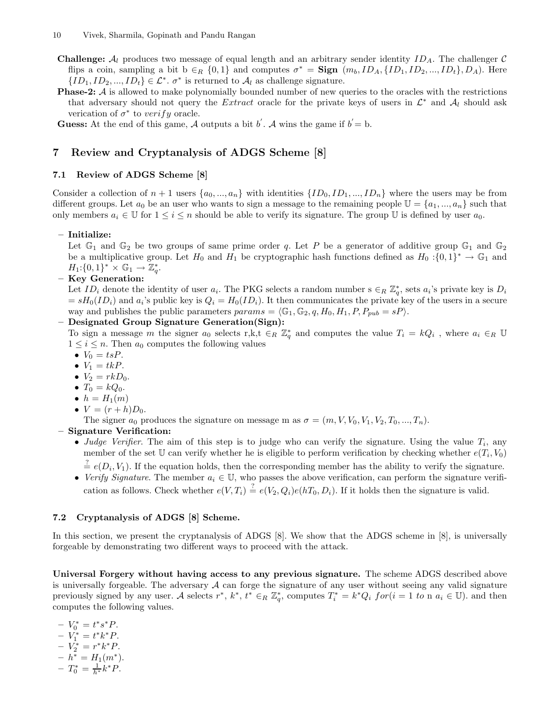- **Challenge:**  $A_l$  produces two message of equal length and an arbitrary sender identity  $ID_A$ . The challenger  $C$ flips a coin, sampling a bit  $b \in_R \{0,1\}$  and computes  $\sigma^* = \text{Sign}(m_b, ID_A, \{ID_1, ID_2, ..., ID_t\}, D_A)$ . Here  ${ID_1, ID_2, ..., ID_t} \in \mathcal{L}^*, \sigma^*$  is returned to  $\mathcal{A}_l$  as challenge signature.
- **Phase-2:** A is allowed to make polynomially bounded number of new queries to the oracles with the restrictions that adversary should not query the Extract oracle for the private keys of users in  $\mathcal{L}^*$  and  $\mathcal{A}_l$  should ask verication of  $\sigma^*$  to verify oracle.

**Guess:** At the end of this game, A outputs a bit  $b'$ . A wins the game if  $b' = b$ .

# 7 Review and Cryptanalysis of ADGS Scheme [8]

## 7.1 Review of ADGS Scheme [8]

Consider a collection of  $n + 1$  users  $\{a_0, ..., a_n\}$  with identities  $\{ID_0, ID_1, ..., ID_n\}$  where the users may be from different groups. Let  $a_0$  be an user who wants to sign a message to the remaining people  $\mathbb{U} = \{a_1, ..., a_n\}$  such that only members  $a_i \in \mathbb{U}$  for  $1 \le i \le n$  should be able to verify its signature. The group  $\mathbb{U}$  is defined by user  $a_0$ .

### – Initialize:

Let  $\mathbb{G}_1$  and  $\mathbb{G}_2$  be two groups of same prime order q. Let P be a generator of additive group  $\mathbb{G}_1$  and  $\mathbb{G}_2$ be a multiplicative group. Let  $H_0$  and  $H_1$  be cryptographic hash functions defined as  $H_0: \{0,1\}^* \to \mathbb{G}_1$  and  $H_1: \{0,1\}^* \times \mathbb{G}_1 \to \mathbb{Z}_q^*.$ 

– Key Generation:

Let  $ID_i$  denote the identity of user  $a_i$ . The PKG selects a random number  $s \in_R \mathbb{Z}_q^*$ , sets  $a_i$ 's private key is  $D_i$  $= sH_0(ID_i)$  and  $a_i$ 's public key is  $Q_i = H_0(ID_i)$ . It then communicates the private key of the users in a secure way and publishes the public parameters  $params = \langle \mathbb{G}_1, \mathbb{G}_2, q, H_0, H_1, P, P_{pub} = sP \rangle$ .

– Designated Group Signature Generation(Sign):

To sign a message m the signer  $a_0$  selects r,k,t  $\in_R \mathbb{Z}_q^*$  and computes the value  $T_i = kQ_i$ , where  $a_i \in_R \mathbb{U}$  $1 \leq i \leq n$ . Then  $a_0$  computes the following values

- $V_0 = tsP$ .
- $V_1 = tkP$ .
- $V_2 = rkD_0$ .
- $T_0 = kQ_0$ .
- $\bullet$   $h = H_1(m)$
- $V = (r + h)D_0$ .

The signer  $a_0$  produces the signature on message m as  $\sigma = (m, V, V_0, V_1, V_2, T_0, ..., T_n)$ .

# – Signature Verification:

- Judge Verifier. The aim of this step is to judge who can verify the signature. Using the value  $T_i$ , any member of the set U can verify whether he is eligible to perform verification by checking whether  $e(T_i, V_0)$
- $\stackrel{?}{=} e(D_i, V_1)$ . If the equation holds, then the corresponding member has the ability to verify the signature. • Verify Signature. The member  $a_i \in \mathbb{U}$ , who passes the above verification, can perform the signature verifi-

# cation as follows. Check whether  $e(V,T_i) \stackrel{?}{=} e(V_2,Q_i)e(hT_0,D_i)$ . If it holds then the signature is valid.

## 7.2 Cryptanalysis of ADGS [8] Scheme.

In this section, we present the cryptanalysis of ADGS [8]. We show that the ADGS scheme in [8], is universally forgeable by demonstrating two different ways to proceed with the attack.

Universal Forgery without having access to any previous signature. The scheme ADGS described above is universally forgeable. The adversary  $A$  can forge the signature of any user without seeing any valid signature previously signed by any user. A selects  $r^*, k^*, t^* \in_R \mathbb{Z}_q^*$ , computes  $T_i^* = k^*Q_i$   $for(i = 1 \text{ to n } a_i \in \mathbb{U})$ . and then computes the following values.

- 
$$
V_0^* = t^*s^*P
$$
.  
\n-  $V_1^* = t^*k^*P$ .  
\n-  $V_2^* = r^*k^*P$ .  
\n-  $h^* = H_1(m^*)$ .  
\n-  $T_0^* = \frac{1}{h^*}k^*P$ .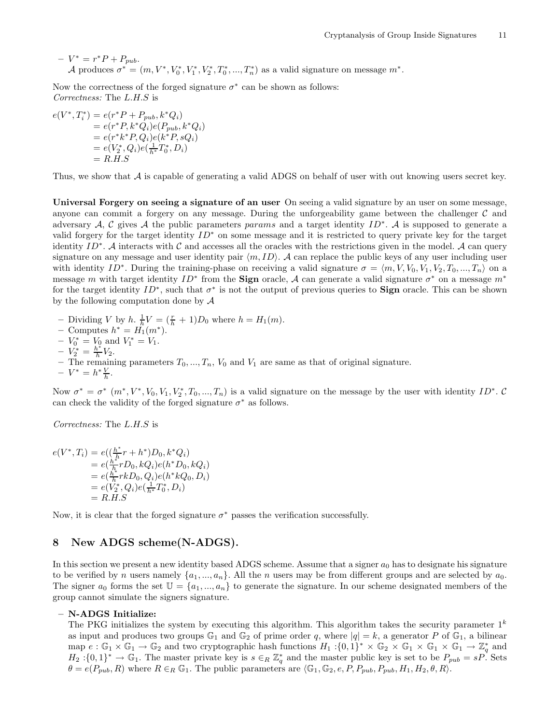$-V^* = r^*P + P_{pub}.$ A produces  $\sigma^* = (m, V^*, V_0^*, V_1^*, V_2^*, T_0^*, ..., T_n^*)$  as a valid signature on message  $m^*$ .

Now the correctness of the forged signature  $\sigma^*$  can be shown as follows: Correctness: The L.H.S is

$$
e(V^*, T_i^*) = e(r^* P + P_{pub}, k^* Q_i)
$$
  
=  $e(r^* P, k^* Q_i) e(P_{pub}, k^* Q_i)$   
=  $e(r^* k^* P, Q_i) e(k^* P, s Q_i)$   
=  $e(V_2^*, Q_i) e(\frac{1}{h^*} T_0^*, D_i)$   
=  $R.H.S$ 

Thus, we show that  $A$  is capable of generating a valid ADGS on behalf of user with out knowing users secret key.

Universal Forgery on seeing a signature of an user On seeing a valid signature by an user on some message, anyone can commit a forgery on any message. During the unforgeability game between the challenger  $\mathcal C$  and adversary A, C gives A the public parameters params and a target identity ID<sup>∗</sup>. A is supposed to generate a valid forgery for the target identity  $ID^*$  on some message and it is restricted to query private key for the target identity  $ID^*$ . A interacts with C and accesses all the oracles with the restrictions given in the model. A can query signature on any message and user identity pair  $\langle m, ID \rangle$ . A can replace the public keys of any user including user with identity ID<sup>∗</sup>. During the training-phase on receiving a valid signature  $\sigma = \langle m, V, V_0, V_1, V_2, T_0, ..., T_n \rangle$  on a message m with target identity  $ID^*$  from the **Sign** oracle, A can generate a valid signature  $\sigma^*$  on a message  $m^*$ for the target identity  $ID^*$ , such that  $\sigma^*$  is not the output of previous queries to **Sign** oracle. This can be shown by the following computation done by  $A$ 

- Dividing V by h.  $\frac{1}{h}V = (\frac{r}{h} + 1)D_0$  where  $h = H_1(m)$ .
- Computes  $h^* = H_1(m^*).$
- $-V_0^* = V_0$  and  $V_1^* = V_1$ .
- $-V_2^* = \frac{h^*}{h} V_2.$
- The remaining parameters  $T_0, ..., T_n$ ,  $V_0$  and  $V_1$  are same as that of original signature.
- $-V^* = h^* \frac{V}{h}.$

Now  $\sigma^* = \sigma^*$   $(m^*, V^*, V_0, V_1, V_2^*, T_0, ..., T_n)$  is a valid signature on the message by the user with identity  $ID^*$ . C can check the validity of the forged signature  $\sigma^*$  as follows.

Correctness: The L.H.S is

$$
e(V^*, T_i) = e((\frac{h^*}{h}r + h^*)D_0, k^*Q_i)
$$
  
=  $e(\frac{h^*}{h}rD_0, kQ_i)e(h^*D_0, kQ_i)$   
=  $e(\frac{h^*}{h}rkD_0, Q_i)e(h^*kQ_0, D_i)$   
=  $e(V_2^*, Q_i)e(\frac{1}{h^*}T_0^*, D_i)$   
=  $R.H.S$ 

Now, it is clear that the forged signature  $\sigma^*$  passes the verification successfully.

# 8 New ADGS scheme(N-ADGS).

In this section we present a new identity based ADGS scheme. Assume that a signer  $a_0$  has to designate his signature to be verified by n users namely  $\{a_1, ..., a_n\}$ . All the n users may be from different groups and are selected by  $a_0$ . The signer  $a_0$  forms the set  $\mathbb{U} = \{a_1, ..., a_n\}$  to generate the signature. In our scheme designated members of the group cannot simulate the signers signature.

#### – N-ADGS Initialize:

The PKG initializes the system by executing this algorithm. This algorithm takes the security parameter  $1^k$ as input and produces two groups  $\mathbb{G}_1$  and  $\mathbb{G}_2$  of prime order q, where  $|q| = k$ , a generator P of  $\mathbb{G}_1$ , a bilinear map  $e : \mathbb{G}_1 \times \mathbb{G}_1 \to \mathbb{G}_2$  and two cryptographic hash functions  $H_1: \{0,1\}^* \times \mathbb{G}_2 \times \mathbb{G}_1 \times \mathbb{G}_1 \times \mathbb{G}_1 \to \mathbb{Z}_q^*$  and  $H_2: \{0,1\}^* \to \mathbb{G}_1$ . The master private key is  $s \in_R \mathbb{Z}_q^*$  and the master public key is set to be  $P_{pub} = sP$ . Sets  $\theta = e(P_{pub}, R)$  where  $R \in_R \mathbb{G}_1$ . The public parameters are  $\langle \mathbb{G}_1, \mathbb{G}_2, e, P, P_{pub}, P_{pub}, H_1, H_2, \theta, R \rangle$ .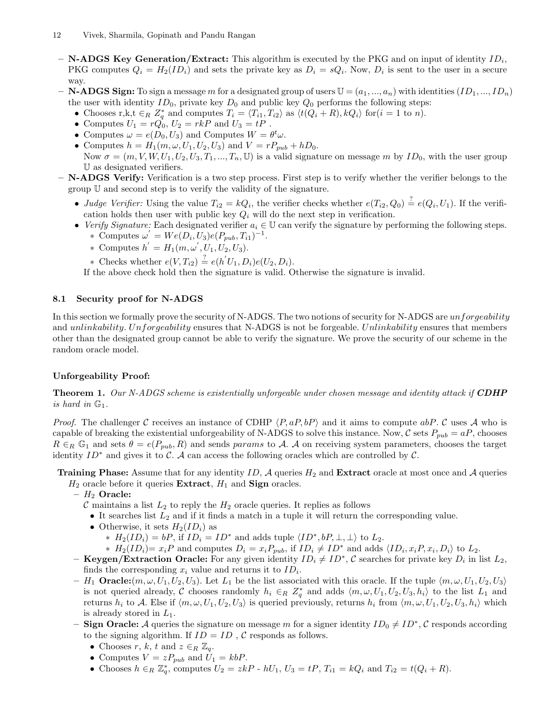- **N-ADGS Key Generation/Extract:** This algorithm is executed by the PKG and on input of identity  $ID_i$ , PKG computes  $Q_i = H_2(ID_i)$  and sets the private key as  $D_i = sQ_i$ . Now,  $D_i$  is sent to the user in a secure way.
- **N-ADGS Sign:** To sign a message m for a designated group of users  $\mathbb{U} = (a_1, ..., a_n)$  with identities  $(ID_1, ..., ID_n)$ the user with identity  $ID_0$ , private key  $D_0$  and public key  $Q_0$  performs the following steps:
	- Chooses r,k,t  $\in_R Z_q^*$  and computes  $T_i = \langle T_{i1}, T_{i2} \rangle$  as  $\langle t(Q_i + R), kQ_i \rangle$  for  $(i = 1 \text{ to } n)$ .
	- Computes  $U_1 = r\dot{Q_0}$ ,  $U_2 = rkP$  and  $U_3 = tP$ .
	- Computes  $\omega = e(D_0, U_3)$  and Computes  $W = \theta^t \omega$ .
	- Computes  $h = H_1(m, \omega, U_1, U_2, U_3)$  and  $V = rP_{pub} + hD_0$ .
	- Now  $\sigma = (m, V, W, U_1, U_2, U_3, T_1, ..., T_n, \mathbb{U})$  is a valid signature on message m by  $ID_0$ , with the user group U as designated verifiers.

 $-$  **N-ADGS Verify:** Verification is a two step process. First step is to verify whether the verifier belongs to the group U and second step is to verify the validity of the signature.

- Judge Verifier: Using the value  $T_{i2} = kQ_i$ , the verifier checks whether  $e(T_{i2}, Q_0) \stackrel{?}{=} e(Q_i, U_1)$ . If the verification holds then user with public key  $Q_i$  will do the next step in verification.
- Verify Signature: Each designated verifier  $a_i \in \mathbb{U}$  can verify the signature by performing the following steps. ∗ Computes  $\omega' = We(D_i, U_3)e(P_{pub}, T_{i1})^{-1}$ .
	- \* Computes  $h' = H_1(m, \omega', U_1, U_2, U_3)$ .
	- ∗ Checks whether  $e(V, T_{i2}) \stackrel{?}{=} e(h'U_1, D_i)e(U_2, D_i)$ .

If the above check hold then the signature is valid. Otherwise the signature is invalid.

# 8.1 Security proof for N-ADGS

In this section we formally prove the security of N-ADGS. The two notions of security for N-ADGS are unforgeability and *unlinkability. Unforgeability* ensures that N-ADGS is not be forgeable. Unlinkability ensures that members other than the designated group cannot be able to verify the signature. We prove the security of our scheme in the random oracle model.

# Unforgeability Proof:

**Theorem 1.** Our N-ADGS scheme is existentially unforgeable under chosen message and identity attack if **CDHP** is hard in  $\mathbb{G}_1$ .

*Proof.* The challenger C receives an instance of CDHP  $\langle P, aP, bP \rangle$  and it aims to compute  $abP$ . C uses A who is capable of breaking the existential unforgeability of N-ADGS to solve this instance. Now, C sets  $P_{pub} = aP$ , chooses  $R \in_R \mathbb{G}_1$  and sets  $\theta = e(P_{pub}, R)$  and sends params to A. A on receiving system parameters, chooses the target identity  $ID^*$  and gives it to C. A can access the following oracles which are controlled by C.

**Training Phase:** Assume that for any identity ID,  $\mathcal A$  queries  $H_2$  and **Extract** oracle at most once and  $\mathcal A$  queries

 $H_2$  oracle before it queries **Extract**,  $H_1$  and **Sign** oracles.

 $H_2$  Oracle:

C maintains a list  $L_2$  to reply the  $H_2$  oracle queries. It replies as follows

- It searches list  $L_2$  and if it finds a match in a tuple it will return the corresponding value.
- Otherwise, it sets  $H_2(ID_i)$  as
	- ∗  $H_2(ID_i) = bP$ , if  $ID_i = ID^*$  and adds tuple  $\langle ID^*, bP, \perp, \perp \rangle$  to  $L_2$ .
	- ∗  $H_2(ID_i) = x_iP$  and computes  $D_i = x_iP_{pub}$ , if  $ID_i ≠ ID^*$  and adds  $\langle ID_i, x_iP, x_i, D_i \rangle$  to  $L_2$ .
- Keygen/Extraction Oracle: For any given identity  $ID_i \neq ID^*$ , C searches for private key  $D_i$  in list  $L_2$ , finds the corresponding  $x_i$  value and returns it to  $ID_i$ .
- $-H_1$  **Oracle:**  $(m, \omega, U_1, U_2, U_3)$ . Let  $L_1$  be the list associated with this oracle. If the tuple  $\langle m, \omega, U_1, U_2, U_3 \rangle$ is not queried already, C chooses randomly  $h_i \in_R Z_q^*$  and adds  $\langle m, \omega, U_1, U_2, U_3, h_i \rangle$  to the list  $L_1$  and returns  $h_i$  to A. Else if  $\langle m, \omega, U_1, U_2, U_3 \rangle$  is queried previously, returns  $h_i$  from  $\langle m, \omega, U_1, U_2, U_3, h_i \rangle$  which is already stored in  $L_1$ .
- Sign Oracle: A queries the signature on message m for a signer identity  $ID_0 \neq ID^*$ , C responds according to the signing algorithm. If  $ID = ID$ , C responds as follows.
	- Chooses r, k, t and  $z \in_R \mathbb{Z}_q$ .
	- Computes  $V = zP_{pub}$  and  $U_1 = kbP$ .
	- Chooses  $h \in_R \mathbb{Z}_q^*$ , computes  $U_2 = zkP$   $hU_1$ ,  $U_3 = tP$ ,  $T_{i1} = kQ_i$  and  $T_{i2} = t(Q_i + R)$ .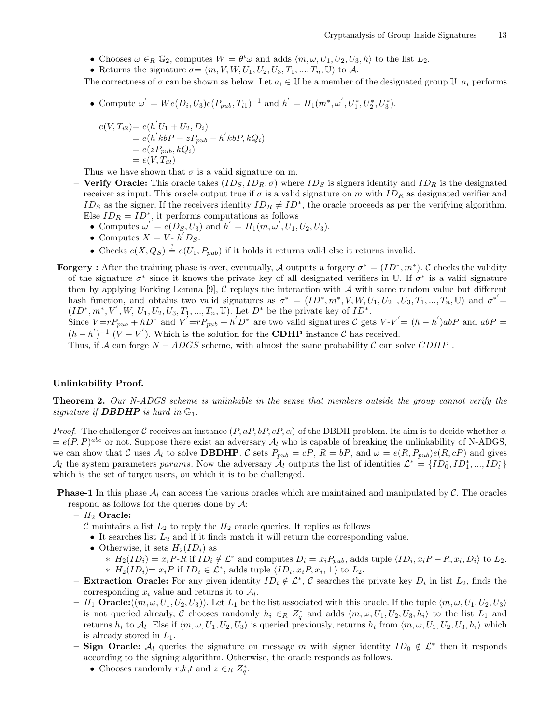- Chooses  $\omega \in_R \mathbb{G}_2$ , computes  $W = \theta^t \omega$  and adds  $\langle m, \omega, U_1, U_2, U_3, h \rangle$  to the list  $L_2$ .
- Returns the signature  $\sigma = (m, V, W, U_1, U_2, U_3, T_1, ..., T_n, \mathbb{U})$  to A.

The correctness of  $\sigma$  can be shown as below. Let  $a_i \in \mathbb{U}$  be a member of the designated group U.  $a_i$  performs

• Compute  $\omega' = We(D_i, U_3)e(P_{pub}, T_{i1})^{-1}$  and  $h' = H_1(m^*, \omega', U_1^*, U_2^*, U_3^*).$ 

$$
e(V, T_{i2}) = e(h'U_1 + U_2, D_i)
$$
  
=  $e(h'kbP + zP_{pub} - h'kbP, kQ_i)$   
=  $e(zP_{pub}, kQ_i)$   
=  $e(V, T_{i2})$ 

Thus we have shown that  $\sigma$  is a valid signature on m.

- **Verify Oracle:** This oracle takes  $(ID_S, ID_R, \sigma)$  where  $ID_S$  is signers identity and  $ID_R$  is the designated receiver as input. This oracle output true if  $\sigma$  is a valid signature on m with  $ID_R$  as designated verifier and ID<sub>S</sub> as the signer. If the receivers identity  $ID_R \neq ID^*$ , the oracle proceeds as per the verifying algorithm. Else  $ID_R = ID^*$ , it performs computations as follows
	- Computes  $\omega' = e(D_{S_1}, U_3)$  and  $h' = H_1(m, \omega', U_1, U_2, U_3)$ .
	- Computes  $X = V h/D_S$ .
	- Checks  $e(X, Q_S) \stackrel{?}{=} e(U_1, P_{pub})$  if it holds it returns valid else it returns invalid.
- **Forgery**: After the training phase is over, eventually, A outputs a forgery  $\sigma^* = (ID^*, m^*)$ . C checks the validity of the signature  $\sigma^*$  since it knows the private key of all designated verifiers in U. If  $\sigma^*$  is a valid signature then by applying Forking Lemma [9],  $C$  replays the interaction with  $A$  with same random value but different hash function, and obtains two valid signatures as  $\sigma^* = (ID^*, m^*, V, W, U_1, U_2, U_3, T_1, ..., T_n, \mathbb{U})$  and  $\sigma^* =$  $(ID^*, m^*, V', W, U_1, U_2, U_3, T_1, ..., T_n, \mathbb{U})$ . Let  $D^*$  be the private key of  $ID^*$ . Since  $V = rP_{pub} + hD^*$  and  $V' = rP_{pub} + h'D^*$  are two valid signatures C gets  $V - V' = (h - h')abP$  and  $abP =$  $(h-h')^{-1}$   $(V - V')$ . Which is the solution for the **CDHP** instance C has received.

Thus, if  $A$  can forge  $N - ADGS$  scheme, with almost the same probability C can solve CDHP.

#### Unlinkability Proof.

Theorem 2. Our N-ADGS scheme is unlinkable in the sense that members outside the group cannot verify the signature if **DBDHP** is hard in  $\mathbb{G}_1$ .

*Proof.* The challenger C receives an instance  $(P, aP, bP, cP, \alpha)$  of the DBDH problem. Its aim is to decide whether  $\alpha$  $= e(P, P)^{abc}$  or not. Suppose there exist an adversary  $\mathcal{A}_l$  who is capable of breaking the unlinkability of N-ADGS, we can show that C uses  $\mathcal{A}_l$  to solve **DBDHP**. C sets  $P_{pub} = cP$ ,  $R = bP$ , and  $\omega = e(R, P_{pub})e(R, cP)$  and gives  $\mathcal{A}_l$  the system parameters params. Now the adversary  $\mathcal{A}_l$  outputs the list of identities  $\mathcal{L}^* = \{ID_0^*, ID_1^*, ..., ID_t^*\}$ which is the set of target users, on which it is to be challenged.

**Phase-1** In this phase  $A_l$  can access the various oracles which are maintained and manipulated by  $C$ . The oracles respond as follows for the queries done by  $\mathcal{A}$ :

 $- H_2$  Oracle:

- $\mathcal C$  maintains a list  $L_2$  to reply the  $H_2$  oracle queries. It replies as follows
	- It searches list  $L_2$  and if it finds match it will return the corresponding value.
	- Otherwise, it sets  $H_2(ID_i)$  as
		- ∗  $H_2(ID_i) = x_i P \cdot R$  if  $ID_i \notin \mathcal{L}^*$  and computes  $D_i = x_i P_{pub}$ , adds tuple  $\langle ID_i, x_i P R, x_i, D_i \rangle$  to  $L_2$ . ∗  $H_2(ID_i)= x_iP$  if  $ID_i \in \mathcal{L}^*$ , adds tuple  $\langle ID_i, x_iP, x_i, \perp \rangle$  to  $L_2$ .
- Extraction Oracle: For any given identity  $ID_i \notin \mathcal{L}^*, C$  searches the private key  $D_i$  in list  $L_2$ , finds the corresponding  $x_i$  value and returns it to  $A_l$ .
- $H_1$  **Oracle:** $((m, \omega, U_1, U_2, U_3))$ . Let  $L_1$  be the list associated with this oracle. If the tuple  $\langle m, \omega, U_1, U_2, U_3 \rangle$ is not queried already, C chooses randomly  $h_i \in_R Z_q^*$  and adds  $\langle m, \omega, U_1, U_2, U_3, h_i \rangle$  to the list  $L_1$  and returns  $h_i$  to  $\mathcal{A}_l$ . Else if  $\langle m, \omega, U_1, U_2, U_3 \rangle$  is queried previously, returns  $h_i$  from  $\langle m, \omega, U_1, U_2, U_3, h_i \rangle$  which is already stored in  $L_1$ .
- Sign Oracle:  $\mathcal{A}_l$  queries the signature on message m with signer identity  $ID_0 \notin \mathcal{L}^*$  then it responds according to the signing algorithm. Otherwise, the oracle responds as follows.
	- Chooses randomly  $r, k, t$  and  $z \in_R Z_q^*$ .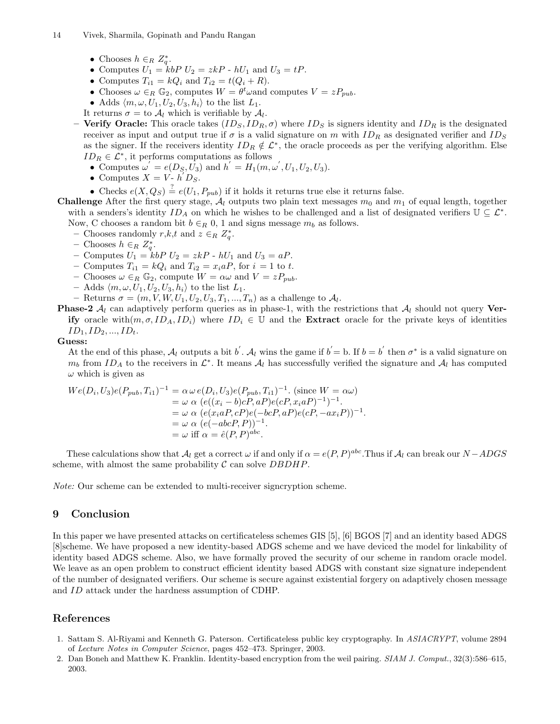- Chooses  $h \in_R Z_q^*$ .
- Computes  $U_1 = k b P U_2 = z k P$   $hU_1$  and  $U_3 = t P$ .
- Computes  $T_{i1} = kQ_i$  and  $T_{i2} = t(Q_i + R)$ .
- Chooses  $\omega \in_R \mathbb{G}_2$ , computes  $W = \theta^t \omega$  and computes  $V = zP_{pub}$ .
- Adds  $\langle m, \omega, U_1, U_2, U_3, h_i \rangle$  to the list  $L_1$ .
- It returns  $\sigma = \text{to } \mathcal{A}_l$  which is verifiable by  $\mathcal{A}_l$ .

– Verify Oracle: This oracle takes  $(ID_S, ID_R, \sigma)$  where  $ID_S$  is signers identity and  $ID_R$  is the designated receiver as input and output true if  $\sigma$  is a valid signature on m with  $ID_R$  as designated verifier and  $ID_S$ as the signer. If the receivers identity  $ID_R \notin \mathcal{L}^*$ , the oracle proceeds as per the verifying algorithm. Else  $ID_R \in \mathcal{L}^*$ , it performs computations as follows

- Computes  $\omega' = e(D_{S_1}, U_3)$  and  $h' = H_1(m, \omega', U_1, U_2, U_3)$ .
- Computes  $X = V h/D_S$ .
- Checks  $e(X, Q_S) \stackrel{?}{=} e(U_1, P_{pub})$  if it holds it returns true else it returns false.

**Challenge** After the first query stage,  $\mathcal{A}_l$  outputs two plain text messages  $m_0$  and  $m_1$  of equal length, together with a senders's identity  $ID_A$  on which he wishes to be challenged and a list of designated verifiers  $\mathbb{U} \subseteq \mathcal{L}^*$ . Now, C chooses a random bit  $b \in_R 0$ , 1 and signs message  $m_b$  as follows.

- Chooses randomly  $r, k, t$  and  $z \in_R Z_q^*$ .
- Chooses  $h \in_R Z_q^*$ .
- Computes  $U_1 = k b P U_2 = z k P h U_1$  and  $U_3 = a P$ .
- Computes  $T_{i1} = kQ_i$  and  $T_{i2} = x_i aP$ , for  $i = 1$  to t.
- Chooses  $\omega \in_R \mathbb{G}_2$ , compute  $W = \alpha \omega$  and  $V = zP_{pub}$ .
- Adds  $\langle m, \omega, U_1, U_2, U_3, h_i \rangle$  to the list  $L_1$ .
- Returns  $\sigma = (m, V, W, U_1, U_2, U_3, T_1, \ldots, T_n)$  as a challenge to  $\mathcal{A}_l$ .
- **Phase-2**  $\mathcal{A}_l$  can adaptively perform queries as in phase-1, with the restrictions that  $\mathcal{A}_l$  should not query **Ver**ify oracle with $(m, \sigma, ID_A, ID_i)$  where  $ID_i \in \mathbb{U}$  and the **Extract** oracle for the private keys of identities  $ID_1, ID_2, ..., ID_t.$

## Guess:

At the end of this phase,  $\mathcal{A}_l$  outputs a bit b'.  $\mathcal{A}_l$  wins the game if  $b' = b$ . If  $b = b'$  then  $\sigma^*$  is a valid signature on  $m_b$  from ID<sub>A</sub> to the receivers in  $\mathcal{L}^*$ . It means  $\mathcal{A}_l$  has successfully verified the signature and  $\mathcal{A}_l$  has computed  $\omega$  which is given as

$$
We(D_i, U_3)e(P_{pub}, T_{i1})^{-1} = \alpha \omega e(D_i, U_3)e(P_{pub}, T_{i1})^{-1}.
$$
 (since  $W = \alpha \omega$ )  
\n
$$
= \omega \alpha (e((x_i - b)cP, aP)e(cP, x_i aP)^{-1})^{-1}.
$$
  
\n
$$
= \omega \alpha (e(x_i aP, cP)e(-bcP, aP)e(cP, -ax_i P))^{-1}.
$$
  
\n
$$
= \omega \alpha (e(-abcP, P))^{-1}.
$$
  
\n
$$
= \omega \text{ iff } \alpha = \hat{e}(P, P)^{abc}.
$$

These calculations show that  $A_l$  get a correct  $\omega$  if and only if  $\alpha = e(P, P)^{abc}$ . Thus if  $A_l$  can break our  $N - ADGS$ scheme, with almost the same probability  $\mathcal C$  can solve  $DBDHP$ .

Note: Our scheme can be extended to multi-receiver signcryption scheme.

# 9 Conclusion

In this paper we have presented attacks on certificateless schemes GIS [5], [6] BGOS [7] and an identity based ADGS [8]scheme. We have proposed a new identity-based ADGS scheme and we have deviced the model for linkability of identity based ADGS scheme. Also, we have formally proved the security of our scheme in random oracle model. We leave as an open problem to construct efficient identity based ADGS with constant size signature independent of the number of designated verifiers. Our scheme is secure against existential forgery on adaptively chosen message and ID attack under the hardness assumption of CDHP.

# References

- 1. Sattam S. Al-Riyami and Kenneth G. Paterson. Certificateless public key cryptography. In ASIACRYPT, volume 2894 of Lecture Notes in Computer Science, pages 452–473. Springer, 2003.
- 2. Dan Boneh and Matthew K. Franklin. Identity-based encryption from the weil pairing. SIAM J. Comput., 32(3):586–615, 2003.